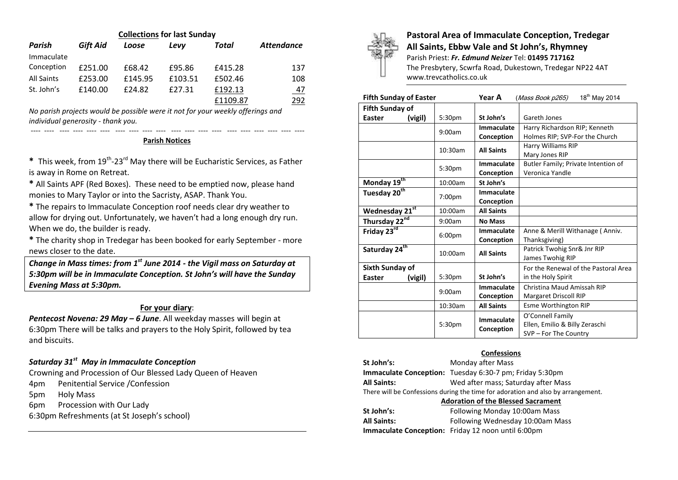| <b>Collections for last Sunday</b> |                 |         |         |          |                   |  |  |  |
|------------------------------------|-----------------|---------|---------|----------|-------------------|--|--|--|
| Parish                             | <b>Gift Aid</b> | Loose   | Levv    | Total    | <b>Attendance</b> |  |  |  |
| Immaculate                         |                 |         |         |          |                   |  |  |  |
| Conception                         | £251.00         | £68.42  | £95.86  | £415.28  | 137               |  |  |  |
| <b>All Saints</b>                  | £253.00         | £145.95 | £103.51 | £502.46  | 108               |  |  |  |
| St. John's                         | £140.00         | £24.82  | £27.31  | £192.13  | <u>47</u>         |  |  |  |
|                                    |                 |         |         | £1109.87 | 292               |  |  |  |

*No parish projects would be possible were it not for your weekly offerings and individual generosity - thank you.*

#### **Parish Notices**

---- ---- ---- ---- ---- ---- ---- ---- ---- ---- ---- ---- ---- ---- ---- ---- ---- ---- ---- ----

\* This week, from 19<sup>th</sup>-23<sup>rd</sup> May there will be Eucharistic Services, as Father is away in Rome on Retreat.

**\*** All Saints APF (Red Boxes). These need to be emptied now, please hand monies to Mary Taylor or into the Sacristy, ASAP. Thank You.

**\*** The repairs to Immaculate Conception roof needs clear dry weather to allow for drying out. Unfortunately, we haven't had a long enough dry run. When we do, the builder is ready.

**\*** The charity shop in Tredegar has been booked for early September - more news closer to the date.

*Change in Mass times: from 1 st June 2014 - the Vigil mass on Saturday at 5:30pm will be in Immaculate Conception. St John's will have the Sunday Evening Mass at 5:30pm.*

#### **For your diary**:

**Pentecost Novena: 29 May - 6 June.** All weekday masses will begin at 6:30pm There will be talks and prayers to the Holy Spirit, followed by tea and biscuits.

# *Saturday 31st May in Immaculate Conception*

Crowning and Procession of Our Blessed Lady Queen of Heaven

4pm Penitential Service /Confession

5pm Holy Mass

6pm Procession with Our Lady

6:30pm Refreshments (at St Joseph's school)



# **Pastoral Area of Immaculate Conception, Tredegar All Saints, Ebbw Vale and St John's, Rhymney**

Parish Priest: *Fr. Edmund Neizer* Tel: **01495 717162** The Presbytery, Scwrfa Road, Dukestown, Tredegar NP22 4AT www.trevcatholics.co.uk

| <b>Fifth Sunday of Easter</b> |                    | 18 <sup>th</sup> May 2014<br>Year A<br>(Mass Book p265) |                                      |  |
|-------------------------------|--------------------|---------------------------------------------------------|--------------------------------------|--|
| <b>Fifth Sunday of</b>        |                    |                                                         |                                      |  |
| Easter<br>(vigil)             | 5:30 <sub>pm</sub> | St John's                                               | Gareth Jones                         |  |
|                               | 9:00am             | Immaculate                                              | Harry Richardson RIP; Kenneth        |  |
|                               |                    | Conception                                              | Holmes RIP; SVP-For the Church       |  |
|                               | 10:30am            | <b>All Saints</b>                                       | <b>Harry Williams RIP</b>            |  |
|                               |                    |                                                         | Mary Jones RIP                       |  |
|                               | 5:30 <sub>pm</sub> | Butler Family; Private Intention of<br>Immaculate       |                                      |  |
|                               |                    | Conception                                              | Veronica Yandle                      |  |
| Monday 19 <sup>th</sup>       | 10:00am            | St John's                                               |                                      |  |
| Tuesday 20 <sup>th</sup>      | 7:00pm             | Immaculate                                              |                                      |  |
|                               |                    | Conception                                              |                                      |  |
| Wednesday 21st                | 10:00am            | <b>All Saints</b>                                       |                                      |  |
| Thursday 22nd                 | 9:00am             | <b>No Mass</b>                                          |                                      |  |
| Friday 23rd                   | 6:00 <sub>pm</sub> | Immaculate                                              | Anne & Merill Withanage (Anniv.      |  |
|                               |                    | Conception                                              | Thanksgiving)                        |  |
| Saturday 24 <sup>th</sup>     | 10:00am            | <b>All Saints</b>                                       | Patrick Twohig Snr& Jnr RIP          |  |
|                               |                    |                                                         | James Twohig RIP                     |  |
| <b>Sixth Sunday of</b>        |                    |                                                         | For the Renewal of the Pastoral Area |  |
| Easter<br>(vigil)             | 5:30 <sub>pm</sub> | St John's                                               | in the Holy Spirit                   |  |
|                               | 9:00am             | Immaculate                                              | Christina Maud Amissah RIP           |  |
|                               |                    | Conception                                              | Margaret Driscoll RIP                |  |
|                               | 10:30am            | <b>All Saints</b>                                       | Esme Worthington RIP                 |  |
|                               |                    | Immaculate                                              | O'Connell Family                     |  |
|                               | 5:30pm             | Conception                                              | Ellen, Emilio & Billy Zeraschi       |  |
|                               |                    |                                                         | SVP - For The Country                |  |

### **Confessions**

**St John's:** Monday after Mass **Immaculate Conception:** Tuesday 6:30-7 pm; Friday 5:30pm **All Saints:** Wed after mass; Saturday after Mass There will be Confessions during the time for adoration and also by arrangement. **Adoration of the Blessed Sacrament St John's:** Following Monday 10:00am Mass **All Saints:** Following Wednesday 10:00am Mass

**Immaculate Conception:** Friday 12 noon until 6:00pm